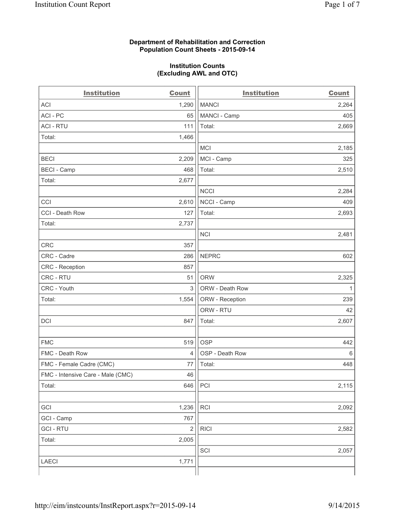## **Department of Rehabilitation and Correction Population Count Sheets - 2015-09-14**

## **Institution Counts (Excluding AWL and OTC)**

| <b>Institution</b>                | <b>Count</b>   | <b>Institution</b> | <b>Count</b> |
|-----------------------------------|----------------|--------------------|--------------|
| <b>ACI</b>                        | 1,290          | <b>MANCI</b>       | 2,264        |
| ACI-PC                            | 65             | MANCI - Camp       | 405          |
| <b>ACI - RTU</b>                  | 111            | Total:             | 2,669        |
| Total:                            | 1,466          |                    |              |
|                                   |                | <b>MCI</b>         | 2,185        |
| <b>BECI</b>                       | 2,209          | MCI - Camp         | 325          |
| <b>BECI - Camp</b>                | 468            | Total:             | 2,510        |
| Total:                            | 2,677          |                    |              |
|                                   |                | <b>NCCI</b>        | 2,284        |
| CCI                               | 2,610          | NCCI - Camp        | 409          |
| CCI - Death Row                   | 127            | Total:             | 2,693        |
| Total:                            | 2,737          |                    |              |
|                                   |                | <b>NCI</b>         | 2,481        |
| <b>CRC</b>                        | 357            |                    |              |
| CRC - Cadre                       | 286            | <b>NEPRC</b>       | 602          |
| CRC - Reception                   | 857            |                    |              |
| CRC - RTU                         | 51             | <b>ORW</b>         | 2,325        |
| CRC - Youth                       | 3              | ORW - Death Row    | $\mathbf{1}$ |
| Total:                            | 1,554          | ORW - Reception    | 239          |
|                                   |                | ORW - RTU          | 42           |
| DCI                               | 847            | Total:             | 2,607        |
|                                   |                |                    |              |
| <b>FMC</b>                        | 519            | <b>OSP</b>         | 442          |
| FMC - Death Row                   | $\overline{4}$ | OSP - Death Row    | 6            |
| FMC - Female Cadre (CMC)          | 77             | Total:             | 448          |
| FMC - Intensive Care - Male (CMC) | 46             |                    |              |
| Total:                            | 646            | PCI                | 2,115        |
|                                   |                |                    |              |
| GCI                               | 1,236          | RCI                | 2,092        |
| GCI - Camp                        | 767            |                    |              |
| <b>GCI-RTU</b>                    | $\sqrt{2}$     | <b>RICI</b>        | 2,582        |
| Total:                            | 2,005          |                    |              |
|                                   |                | SCI                | 2,057        |
| LAECI                             | 1,771          |                    |              |
|                                   |                |                    |              |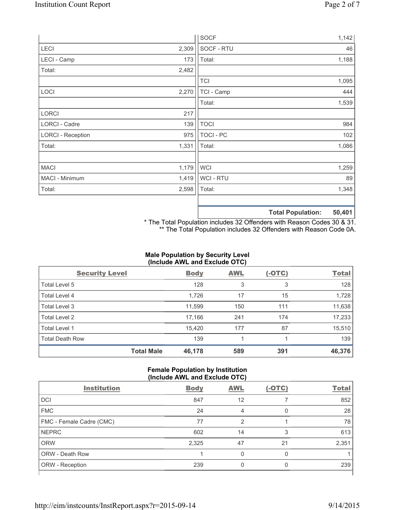|                          |       | <b>SOCF</b>    | 1,142                       |
|--------------------------|-------|----------------|-----------------------------|
| <b>LECI</b>              | 2,309 | SOCF - RTU     | 46                          |
| LECI - Camp              | 173   | Total:         | 1,188                       |
| Total:                   | 2,482 |                |                             |
|                          |       | <b>TCI</b>     | 1,095                       |
| LOCI                     | 2,270 | TCI - Camp     | 444                         |
|                          |       | Total:         | 1,539                       |
| LORCI                    | 217   |                |                             |
| LORCI - Cadre            | 139   | <b>TOCI</b>    | 984                         |
| <b>LORCI - Reception</b> | 975   | TOCI - PC      | 102                         |
| Total:                   | 1,331 | Total:         | 1,086                       |
|                          |       |                |                             |
| <b>MACI</b>              | 1,179 | <b>WCI</b>     | 1,259                       |
| MACI - Minimum           | 1,419 | <b>WCI-RTU</b> | 89                          |
| Total:                   | 2,598 | Total:         | 1,348                       |
|                          |       |                |                             |
|                          |       |                | ED ADA<br>Tatal Danulations |

**Total Population: 50,401**

\* The Total Population includes 32 Offenders with Reason Codes 30 & 31. \*\* The Total Population includes 32 Offenders with Reason Code 0A.

# **Male Population by Security Level (Include AWL and Exclude OTC)**

| <b>Security Level</b>  |                   | <b>Body</b> | <b>AWL</b> | $(-OTC)$ | <b>Total</b> |
|------------------------|-------------------|-------------|------------|----------|--------------|
| Total Level 5          |                   | 128         | 3          | 3        | 128          |
| Total Level 4          |                   | 1,726       | 17         | 15       | 1,728        |
| Total Level 3          |                   | 11,599      | 150        | 111      | 11,638       |
| Total Level 2          |                   | 17,166      | 241        | 174      | 17,233       |
| Total Level 1          |                   | 15,420      | 177        | 87       | 15,510       |
| <b>Total Death Row</b> |                   | 139         |            |          | 139          |
|                        | <b>Total Male</b> | 46,178      | 589        | 391      | 46,376       |

#### **Female Population by Institution (Include AWL and Exclude OTC)**

|                          | ,           |            |          |              |
|--------------------------|-------------|------------|----------|--------------|
| <b>Institution</b>       | <b>Body</b> | <b>AWL</b> | $(-OTC)$ | <b>Total</b> |
| DCI                      | 847         | 12         |          | 852          |
| <b>FMC</b>               | 24          | 4          | O        | 28           |
| FMC - Female Cadre (CMC) | 77          | 2          |          | 78           |
| <b>NEPRC</b>             | 602         | 14         | 3        | 613          |
| <b>ORW</b>               | 2,325       | 47         | 21       | 2,351        |
| <b>ORW - Death Row</b>   |             | U          | O        |              |
| ORW - Reception          | 239         |            | 0        | 239          |
|                          |             |            |          |              |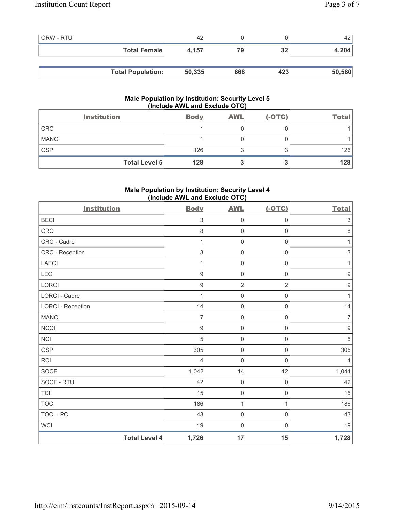| <b>ORW - RTU</b> |                          | 42     |     |     | 42     |
|------------------|--------------------------|--------|-----|-----|--------|
|                  | <b>Total Female</b>      | 4.157  | 79  | 32  | 4,204  |
|                  |                          |        |     |     |        |
|                  | <b>Total Population:</b> | 50,335 | 668 | 423 | 50,580 |

# **Male Population by Institution: Security Level 5 (Include AWL and Exclude OTC)**

|              | <b>Institution</b>   | <b>Body</b> | <b>AWL</b> | $(-OTC)$ | <b>Total</b> |
|--------------|----------------------|-------------|------------|----------|--------------|
| <b>CRC</b>   |                      |             |            |          |              |
| <b>MANCI</b> |                      |             |            |          |              |
| <b>OSP</b>   |                      | 126         |            |          | 126          |
|              | <b>Total Level 5</b> | 128         |            |          | 128          |

# **Male Population by Institution: Security Level 4 (Include AWL and Exclude OTC)**

| <b>Institution</b>       |                      | <b>Body</b>      | <b>AWL</b>          | $(-OTC)$            | <b>Total</b>     |
|--------------------------|----------------------|------------------|---------------------|---------------------|------------------|
| <b>BECI</b>              |                      | $\sqrt{3}$       | $\mathsf{O}\xspace$ | $\mathsf{O}\xspace$ | $\sqrt{3}$       |
| <b>CRC</b>               |                      | 8                | $\mathsf{O}\xspace$ | $\mathbf 0$         | 8                |
| CRC - Cadre              |                      | 1                | $\mathsf{O}\xspace$ | $\mathsf{O}\xspace$ | $\mathbf{1}$     |
| CRC - Reception          |                      | $\sqrt{3}$       | $\mathsf{O}\xspace$ | $\mathsf 0$         | $\mathsf 3$      |
| <b>LAECI</b>             |                      | 1                | $\mathsf{O}\xspace$ | $\mathsf 0$         | $\mathbf{1}$     |
| LECI                     |                      | $9\,$            | $\mathsf{O}\xspace$ | $\mathsf{O}\xspace$ | $\boldsymbol{9}$ |
| LORCI                    |                      | $\boldsymbol{9}$ | $\sqrt{2}$          | $\overline{2}$      | $\boldsymbol{9}$ |
| LORCI - Cadre            |                      | 1                | $\mathsf{O}\xspace$ | $\mathbf 0$         | $\mathbf{1}$     |
| <b>LORCI - Reception</b> |                      | 14               | $\mathsf{O}\xspace$ | $\mathsf{O}\xspace$ | 14               |
| <b>MANCI</b>             |                      | $\overline{7}$   | $\mathsf{O}\xspace$ | $\mathsf{O}\xspace$ | $\overline{7}$   |
| <b>NCCI</b>              |                      | $9\,$            | $\mathsf{O}\xspace$ | $\mathbf 0$         | $\hbox{9}$       |
| <b>NCI</b>               |                      | 5                | $\mathsf{O}\xspace$ | $\mathsf{O}\xspace$ | $\sqrt{5}$       |
| <b>OSP</b>               |                      | 305              | $\mathsf{O}\xspace$ | $\mathsf 0$         | 305              |
| <b>RCI</b>               |                      | $\overline{4}$   | $\mathbf 0$         | $\mathbf 0$         | $\overline{4}$   |
| <b>SOCF</b>              |                      | 1,042            | 14                  | 12                  | 1,044            |
| SOCF - RTU               |                      | 42               | $\mathsf{O}\xspace$ | $\mathsf{O}\xspace$ | 42               |
| <b>TCI</b>               |                      | 15               | $\mathsf{O}\xspace$ | $\mathsf{O}\xspace$ | 15               |
| <b>TOCI</b>              |                      | 186              | $\mathbf{1}$        | $\mathbf{1}$        | 186              |
| TOCI - PC                |                      | 43               | $\mathbf 0$         | $\mathsf 0$         | 43               |
| <b>WCI</b>               |                      | 19               | $\mathbf 0$         | $\mathsf{O}\xspace$ | 19               |
|                          | <b>Total Level 4</b> | 1,726            | 17                  | 15                  | 1,728            |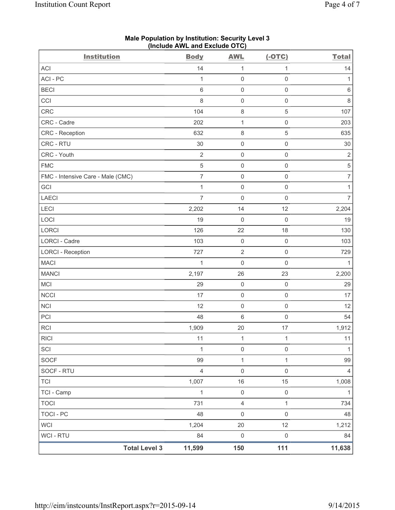| <b>Institution</b>                | <b>Body</b>    | <b>AWL</b>          | $(-OTC)$            | <b>Total</b>             |
|-----------------------------------|----------------|---------------------|---------------------|--------------------------|
| ACI                               | 14             | $\mathbf 1$         | 1                   | 14                       |
| ACI-PC                            | $\mathbf{1}$   | $\mathsf 0$         | $\mathsf{O}\xspace$ | 1                        |
| <b>BECI</b>                       | $\,6$          | $\mathbf 0$         | $\mathsf{O}\xspace$ | $\,6\,$                  |
| CCI                               | 8              | $\mathsf{O}\xspace$ | $\mathsf 0$         | $\,8\,$                  |
| CRC                               | 104            | $\,8\,$             | $\sqrt{5}$          | 107                      |
| CRC - Cadre                       | 202            | $\mathbf 1$         | $\mathsf{O}\xspace$ | 203                      |
| CRC - Reception                   | 632            | $\,8\,$             | $\,$ 5 $\,$         | 635                      |
| CRC - RTU                         | 30             | $\mathbf 0$         | $\mathsf{O}\xspace$ | 30                       |
| CRC - Youth                       | $\sqrt{2}$     | $\mathsf{O}\xspace$ | $\mathsf 0$         | $\sqrt{2}$               |
| <b>FMC</b>                        | $\sqrt{5}$     | $\mathbf 0$         | $\mathsf{O}\xspace$ | $\,$ 5 $\,$              |
| FMC - Intensive Care - Male (CMC) | $\overline{7}$ | $\mathbf 0$         | $\mathsf{O}\xspace$ | $\overline{\mathcal{I}}$ |
| GCI                               | $\mathbf{1}$   | $\mathsf{O}\xspace$ | $\mathsf 0$         | 1                        |
| <b>LAECI</b>                      | $\overline{7}$ | $\mathbf 0$         | $\mathbf 0$         | $\overline{7}$           |
| LECI                              | 2,202          | 14                  | 12                  | 2,204                    |
| LOCI                              | 19             | $\mathbf 0$         | $\mathsf 0$         | 19                       |
| LORCI                             | 126            | 22                  | 18                  | 130                      |
| <b>LORCI - Cadre</b>              | 103            | $\mathsf{O}\xspace$ | $\mathsf 0$         | 103                      |
| <b>LORCI - Reception</b>          | 727            | $\mathbf 2$         | $\mathsf{O}\xspace$ | 729                      |
| <b>MACI</b>                       | $\mathbf{1}$   | $\mathbf 0$         | $\mathsf 0$         | $\mathbf{1}$             |
| <b>MANCI</b>                      | 2,197          | 26                  | 23                  | 2,200                    |
| <b>MCI</b>                        | 29             | $\mathbf 0$         | $\mathsf 0$         | 29                       |
| <b>NCCI</b>                       | 17             | $\mathsf{O}\xspace$ | $\mathsf 0$         | 17                       |
| <b>NCI</b>                        | 12             | $\mathbf 0$         | $\mathsf{O}\xspace$ | 12                       |
| PCI                               | 48             | 6                   | $\mathsf{O}\xspace$ | 54                       |
| RCI                               | 1,909          | 20                  | 17                  | 1,912                    |
| <b>RICI</b>                       | 11             | 1                   | 1                   | 11                       |
| SCI                               | 1              | 0                   | $\mathsf{O}\xspace$ | 1                        |
| <b>SOCF</b>                       | 99             | $\mathbf{1}$        | $\mathbf{1}$        | 99                       |
| SOCF - RTU                        | $\overline{4}$ | $\mathsf{O}\xspace$ | $\mathsf 0$         | $\overline{4}$           |
| <b>TCI</b>                        | 1,007          | 16                  | 15                  | 1,008                    |
| TCI - Camp                        | $\mathbf{1}$   | $\mathbf 0$         | $\mathsf 0$         | $\mathbf{1}$             |
| <b>TOCI</b>                       | 731            | 4                   | 1                   | 734                      |
| <b>TOCI - PC</b>                  | 48             | $\mathbf 0$         | $\mathbf 0$         | 48                       |
| <b>WCI</b>                        | 1,204          | 20                  | 12                  | 1,212                    |
| WCI - RTU                         | 84             | $\mathbf 0$         | $\mathsf{O}\xspace$ | 84                       |
| <b>Total Level 3</b>              | 11,599         | 150                 | 111                 | 11,638                   |

**Male Population by Institution: Security Level 3 (Include AWL and Exclude OTC)**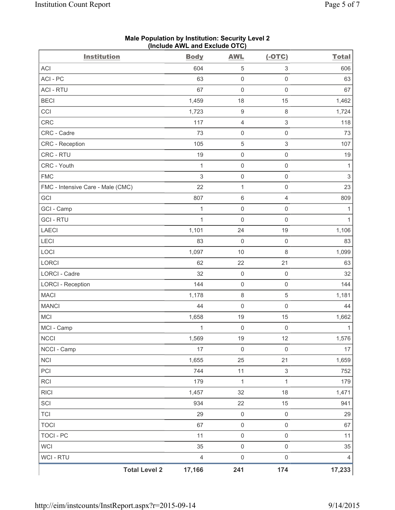| <b>Institution</b>                | <b>Body</b>    | <b>AWL</b>          | $(-OTC)$                  | <b>Total</b>              |
|-----------------------------------|----------------|---------------------|---------------------------|---------------------------|
| <b>ACI</b>                        | 604            | $\,$ 5 $\,$         | 3                         | 606                       |
| ACI - PC                          | 63             | $\mathsf 0$         | $\mathsf{O}\xspace$       | 63                        |
| <b>ACI - RTU</b>                  | 67             | 0                   | $\mathsf{O}\xspace$       | 67                        |
| <b>BECI</b>                       | 1,459          | 18                  | 15                        | 1,462                     |
| CCI                               | 1,723          | $\boldsymbol{9}$    | $\,8\,$                   | 1,724                     |
| <b>CRC</b>                        | 117            | $\overline{4}$      | $\ensuremath{\mathsf{3}}$ | 118                       |
| CRC - Cadre                       | 73             | $\mathsf 0$         | $\mathsf{O}\xspace$       | 73                        |
| CRC - Reception                   | 105            | $\mathbf 5$         | $\mathfrak{S}$            | 107                       |
| CRC - RTU                         | 19             | $\mathsf 0$         | $\mathsf{O}\xspace$       | $19$                      |
| CRC - Youth                       | $\mathbf{1}$   | $\mathsf 0$         | $\mathsf 0$               | $\mathbf{1}$              |
| <b>FMC</b>                        | 3              | $\mathsf{O}\xspace$ | $\mathsf 0$               | $\ensuremath{\mathsf{3}}$ |
| FMC - Intensive Care - Male (CMC) | 22             | $\mathbf{1}$        | $\mathsf 0$               | 23                        |
| GCI                               | 807            | $\,6\,$             | $\overline{4}$            | 809                       |
| GCI - Camp                        | 1              | $\mathsf 0$         | $\mathsf{O}\xspace$       | $\mathbf{1}$              |
| <b>GCI-RTU</b>                    | $\mathbf{1}$   | $\mathbf 0$         | $\mathsf 0$               | $\mathbf{1}$              |
| LAECI                             | 1,101          | 24                  | 19                        | 1,106                     |
| LECI                              | 83             | $\mathbf 0$         | $\mathsf 0$               | 83                        |
| LOCI                              | 1,097          | 10                  | $\,8\,$                   | 1,099                     |
| LORCI                             | 62             | 22                  | 21                        | 63                        |
| LORCI - Cadre                     | 32             | $\mathsf{O}\xspace$ | $\mathsf 0$               | 32                        |
| <b>LORCI - Reception</b>          | 144            | $\mathsf 0$         | $\mathsf 0$               | 144                       |
| <b>MACI</b>                       | 1,178          | $\,8\,$             | 5                         | 1,181                     |
| <b>MANCI</b>                      | 44             | $\mathsf{O}\xspace$ | $\mathsf 0$               | 44                        |
| MCI                               | 1,658          | 19                  | 15                        | 1,662                     |
| MCI - Camp                        | 1              | $\mathsf{O}\xspace$ | $\mathsf 0$               | $\mathbf{1}$              |
| <b>NCCI</b>                       | 1,569          | 19                  | 12                        | 1,576                     |
| NCCI - Camp                       | 17             | $\mathsf{O}\xspace$ | $\mathsf 0$               | 17                        |
| <b>NCI</b>                        | 1,655          | 25                  | 21                        | 1,659                     |
| PCI                               | 744            | 11                  | $\mathsf 3$               | 752                       |
| <b>RCI</b>                        | 179            | $\mathbf{1}$        | $\mathbf{1}$              | 179                       |
| <b>RICI</b>                       | 1,457          | 32                  | 18                        | 1,471                     |
| SCI                               | 934            | 22                  | 15                        | 941                       |
| <b>TCI</b>                        | 29             | $\mathsf{O}\xspace$ | $\mathsf 0$               | 29                        |
| <b>TOCI</b>                       | 67             | $\mathsf{O}\xspace$ | $\mathsf 0$               | 67                        |
| <b>TOCI - PC</b>                  | 11             | $\mathsf 0$         | $\mathsf{O}\xspace$       | 11                        |
| <b>WCI</b>                        | 35             | $\mathsf 0$         | $\mathsf 0$               | 35                        |
| WCI - RTU                         | $\overline{4}$ | $\mathsf{O}\xspace$ | $\mathsf{O}\xspace$       | $\overline{4}$            |
| <b>Total Level 2</b>              | 17,166         | 241                 | 174                       | 17,233                    |

#### **Male Population by Institution: Security Level 2 (Include AWL and Exclude OTC)**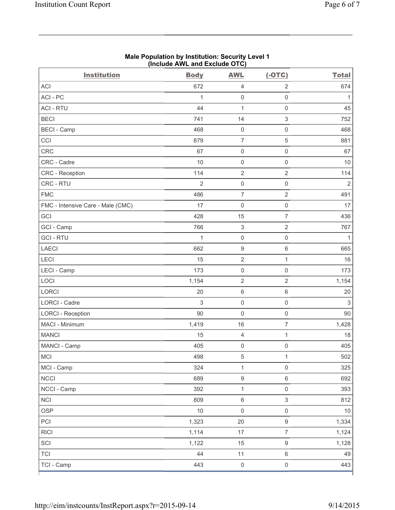| <b>Institution</b>                | <b>Body</b>    | <b>AWL</b>          | $(-OTC)$                  | <b>Total</b>   |
|-----------------------------------|----------------|---------------------|---------------------------|----------------|
| <b>ACI</b>                        | 672            | $\overline{4}$      | $\overline{2}$            | 674            |
| ACI-PC                            | 1              | $\mathsf{O}\xspace$ | $\mathsf 0$               | $\mathbf{1}$   |
| <b>ACI - RTU</b>                  | 44             | $\mathbf{1}$        | $\mathsf 0$               | 45             |
| <b>BECI</b>                       | 741            | 14                  | $\ensuremath{\mathsf{3}}$ | 752            |
| <b>BECI</b> - Camp                | 468            | $\mathsf{O}\xspace$ | $\mathsf{O}\xspace$       | 468            |
| CCI                               | 879            | $\overline{7}$      | $\sqrt{5}$                | 881            |
| CRC                               | 67             | $\mathsf{O}\xspace$ | $\mathsf 0$               | 67             |
| CRC - Cadre                       | 10             | $\mathsf{O}\xspace$ | $\mathsf{O}\xspace$       | 10             |
| CRC - Reception                   | 114            | $\mathbf 2$         | $\sqrt{2}$                | 114            |
| CRC - RTU                         | $\overline{2}$ | $\mathsf 0$         | $\mathsf{O}\xspace$       | $\overline{2}$ |
| <b>FMC</b>                        | 486            | $\overline{7}$      | $\overline{2}$            | 491            |
| FMC - Intensive Care - Male (CMC) | 17             | $\mathsf 0$         | $\mathsf{O}\xspace$       | 17             |
| GCI                               | 428            | 15                  | $\overline{7}$            | 436            |
| GCI - Camp                        | 766            | $\,$ 3 $\,$         | $\sqrt{2}$                | 767            |
| <b>GCI-RTU</b>                    | 1              | $\mathsf{O}\xspace$ | $\boldsymbol{0}$          | 1              |
| LAECI                             | 662            | $\boldsymbol{9}$    | $\,6\,$                   | 665            |
| LECI                              | 15             | $\overline{2}$      | $\mathbf{1}$              | 16             |
| LECI - Camp                       | 173            | $\mathsf{O}\xspace$ | $\mathsf{O}\xspace$       | 173            |
| LOCI                              | 1,154          | $\overline{2}$      | $\sqrt{2}$                | 1,154          |
| LORCI                             | 20             | 6                   | $\,6\,$                   | 20             |
| LORCI - Cadre                     | 3              | $\mathsf{O}\xspace$ | $\mathsf 0$               | $\mathfrak{S}$ |
| <b>LORCI - Reception</b>          | 90             | $\mathsf{O}\xspace$ | $\mathsf{O}\xspace$       | 90             |
| MACI - Minimum                    | 1,419          | 16                  | $\overline{7}$            | 1,428          |
| <b>MANCI</b>                      | 15             | $\overline{4}$      | $\mathbf{1}$              | 18             |
| MANCI - Camp                      | 405            | $\mathsf 0$         | $\mathsf{O}\xspace$       | 405            |
| MCI                               | 498            | $\,$ 5 $\,$         | $\mathbf{1}$              | 502            |
| MCI - Camp                        | 324            | $\mathbf{1}$        | $\mathsf 0$               | 325            |
| <b>NCCI</b>                       | 689            | $\boldsymbol{9}$    | $\,6\,$                   | 692            |
| NCCI - Camp                       | 392            | $\mathbf 1$         | $\mathsf 0$               | 393            |
| NCI                               | 809            | $\,6$               | $\ensuremath{\mathsf{3}}$ | 812            |
| <b>OSP</b>                        | 10             | $\mathsf{O}\xspace$ | $\mathsf{O}\xspace$       | $10$           |
| PCI                               | 1,323          | 20                  | $\boldsymbol{9}$          | 1,334          |
| <b>RICI</b>                       | 1,114          | 17                  | $\overline{7}$            | 1,124          |
| SCI                               | 1,122          | 15                  | $\hbox{9}$                | 1,128          |
| <b>TCI</b>                        | 44             | 11                  | $\,6\,$                   | 49             |
| TCI - Camp                        | 443            | $\mathsf{O}\xspace$ | $\mathsf{O}\xspace$       | 443            |

#### **Male Population by Institution: Security Level 1 (Include AWL and Exclude OTC)**